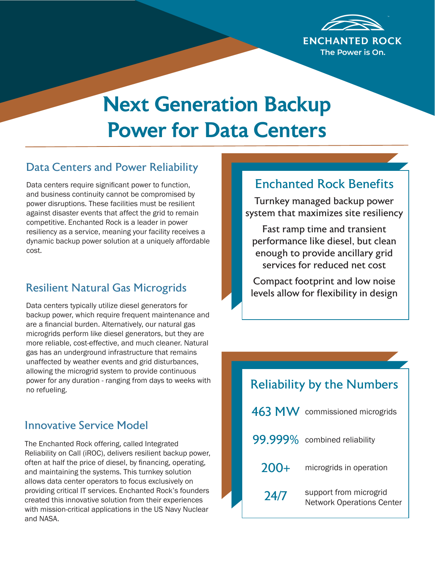

# Next Generation Backup Power for Data Centers

### Data Centers and Power Reliability

Data centers require significant power to function, and business continuity cannot be compromised by power disruptions. These facilities must be resilient against disaster events that affect the grid to remain competitive. Enchanted Rock is a leader in power resiliency as a service, meaning your facility receives a dynamic backup power solution at a uniquely affordable cost.

# Resilient Natural Gas Microgrids

Data centers typically utilize diesel generators for backup power, which require frequent maintenance and are a financial burden. Alternatively, our natural gas microgrids perform like diesel generators, but they are more reliable, cost-effective, and much cleaner. Natural gas has an underground infrastructure that remains unaffected by weather events and grid disturbances, allowing the microgrid system to provide continuous power for any duration - ranging from days to weeks with no refueling.

#### Innovative Service Model

The Enchanted Rock offering, called Integrated Reliability on Call (iROC), delivers resilient backup power, often at half the price of diesel, by financing, operating, and maintaining the systems. This turnkey solution allows data center operators to focus exclusively on providing critical IT services. Enchanted Rock's founders created this innovative solution from their experiences with mission-critical applications in the US Navy Nuclear and NASA.

### Enchanted Rock Benefits

Turnkey managed backup power system that maximizes site resiliency

Fast ramp time and transient performance like diesel, but clean enough to provide ancillary grid services for reduced net cost

Compact footprint and low noise levels allow for flexibility in design

| <b>Reliability by the Numbers</b> |                                                            |
|-----------------------------------|------------------------------------------------------------|
|                                   | 463 MW commissioned microgrids                             |
|                                   | 99.999% combined reliability                               |
| $200+$                            | microgrids in operation                                    |
| 24/7                              | support from microgrid<br><b>Network Operations Center</b> |